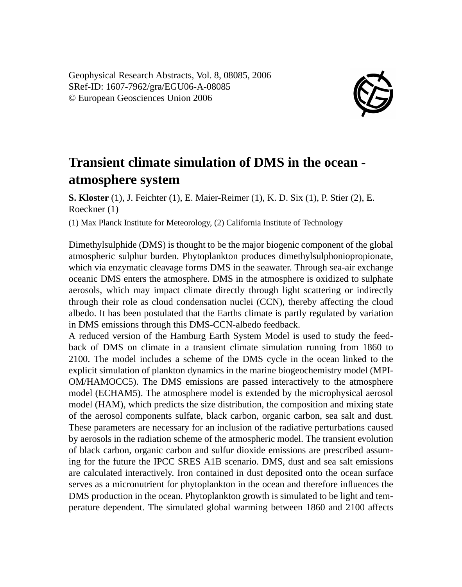Geophysical Research Abstracts, Vol. 8, 08085, 2006 SRef-ID: 1607-7962/gra/EGU06-A-08085 © European Geosciences Union 2006



## **Transient climate simulation of DMS in the ocean atmosphere system**

**S. Kloster** (1), J. Feichter (1), E. Maier-Reimer (1), K. D. Six (1), P. Stier (2), E. Roeckner (1)

(1) Max Planck Institute for Meteorology, (2) California Institute of Technology

Dimethylsulphide (DMS) is thought to be the major biogenic component of the global atmospheric sulphur burden. Phytoplankton produces dimethylsulphoniopropionate, which via enzymatic cleavage forms DMS in the seawater. Through sea-air exchange oceanic DMS enters the atmosphere. DMS in the atmosphere is oxidized to sulphate aerosols, which may impact climate directly through light scattering or indirectly through their role as cloud condensation nuclei (CCN), thereby affecting the cloud albedo. It has been postulated that the Earths climate is partly regulated by variation in DMS emissions through this DMS-CCN-albedo feedback.

A reduced version of the Hamburg Earth System Model is used to study the feedback of DMS on climate in a transient climate simulation running from 1860 to 2100. The model includes a scheme of the DMS cycle in the ocean linked to the explicit simulation of plankton dynamics in the marine biogeochemistry model (MPI-OM/HAMOCC5). The DMS emissions are passed interactively to the atmosphere model (ECHAM5). The atmosphere model is extended by the microphysical aerosol model (HAM), which predicts the size distribution, the composition and mixing state of the aerosol components sulfate, black carbon, organic carbon, sea salt and dust. These parameters are necessary for an inclusion of the radiative perturbations caused by aerosols in the radiation scheme of the atmospheric model. The transient evolution of black carbon, organic carbon and sulfur dioxide emissions are prescribed assuming for the future the IPCC SRES A1B scenario. DMS, dust and sea salt emissions are calculated interactively. Iron contained in dust deposited onto the ocean surface serves as a micronutrient for phytoplankton in the ocean and therefore influences the DMS production in the ocean. Phytoplankton growth is simulated to be light and temperature dependent. The simulated global warming between 1860 and 2100 affects